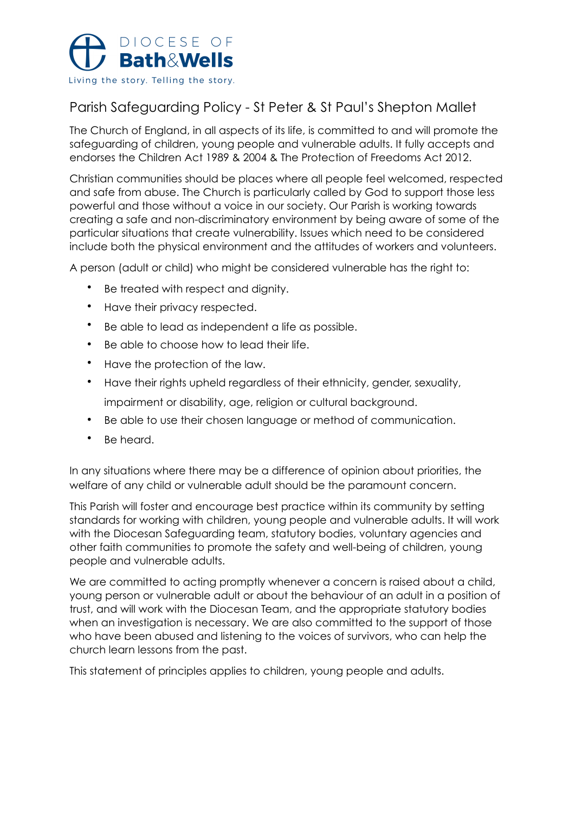

# Parish Safeguarding Policy - St Peter & St Paul's Shepton Mallet

The Church of England, in all aspects of its life, is committed to and will promote the safeguarding of children, young people and vulnerable adults. It fully accepts and endorses the Children Act 1989 & 2004 & The Protection of Freedoms Act 2012.

Christian communities should be places where all people feel welcomed, respected and safe from abuse. The Church is particularly called by God to support those less powerful and those without a voice in our society. Our Parish is working towards creating a safe and non-discriminatory environment by being aware of some of the particular situations that create vulnerability. Issues which need to be considered include both the physical environment and the attitudes of workers and volunteers.

A person (adult or child) who might be considered vulnerable has the right to:

- Be treated with respect and dignity.
- Have their privacy respected.
- Be able to lead as independent a life as possible.
- Be able to choose how to lead their life.
- Have the protection of the law.
- Have their rights upheld regardless of their ethnicity, gender, sexuality, impairment or disability, age, religion or cultural background.
- Be able to use their chosen language or method of communication.
- Be heard.

In any situations where there may be a difference of opinion about priorities, the welfare of any child or vulnerable adult should be the paramount concern.

This Parish will foster and encourage best practice within its community by setting standards for working with children, young people and vulnerable adults. It will work with the Diocesan Safeguarding team, statutory bodies, voluntary agencies and other faith communities to promote the safety and well-being of children, young people and vulnerable adults.

We are committed to acting promptly whenever a concern is raised about a child, young person or vulnerable adult or about the behaviour of an adult in a position of trust, and will work with the Diocesan Team, and the appropriate statutory bodies when an investigation is necessary. We are also committed to the support of those who have been abused and listening to the voices of survivors, who can help the church learn lessons from the past.

This statement of principles applies to children, young people and adults.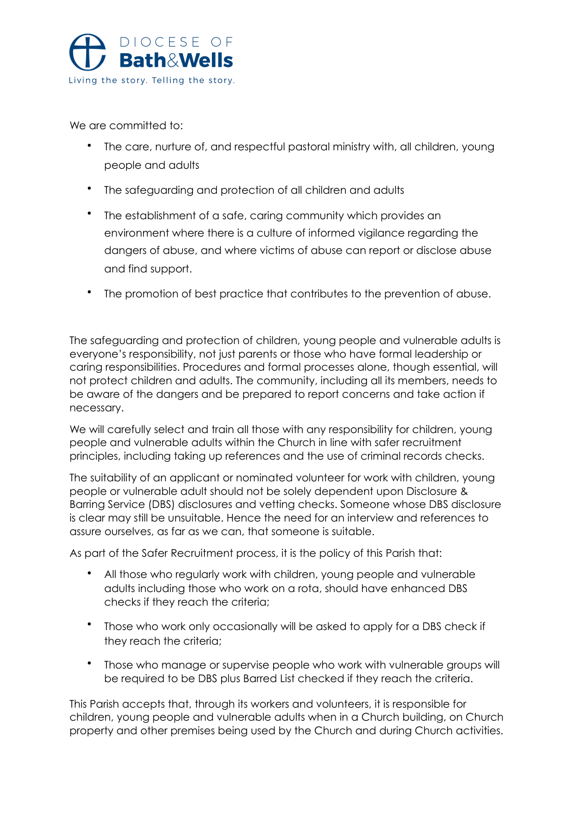

We are committed to:

- The care, nurture of, and respectful pastoral ministry with, all children, young people and adults
- The safeguarding and protection of all children and adults
- The establishment of a safe, caring community which provides an environment where there is a culture of informed vigilance regarding the dangers of abuse, and where victims of abuse can report or disclose abuse and find support.
- The promotion of best practice that contributes to the prevention of abuse.

The safeguarding and protection of children, young people and vulnerable adults is everyone's responsibility, not just parents or those who have formal leadership or caring responsibilities. Procedures and formal processes alone, though essential, will not protect children and adults. The community, including all its members, needs to be aware of the dangers and be prepared to report concerns and take action if necessary.

We will carefully select and train all those with any responsibility for children, young people and vulnerable adults within the Church in line with safer recruitment principles, including taking up references and the use of criminal records checks.

The suitability of an applicant or nominated volunteer for work with children, young people or vulnerable adult should not be solely dependent upon Disclosure & Barring Service (DBS) disclosures and vetting checks. Someone whose DBS disclosure is clear may still be unsuitable. Hence the need for an interview and references to assure ourselves, as far as we can, that someone is suitable.

As part of the Safer Recruitment process, it is the policy of this Parish that:

- All those who regularly work with children, young people and vulnerable adults including those who work on a rota, should have enhanced DBS checks if they reach the criteria;
- Those who work only occasionally will be asked to apply for a DBS check if they reach the criteria;
- Those who manage or supervise people who work with vulnerable groups will be required to be DBS plus Barred List checked if they reach the criteria.

This Parish accepts that, through its workers and volunteers, it is responsible for children, young people and vulnerable adults when in a Church building, on Church property and other premises being used by the Church and during Church activities.